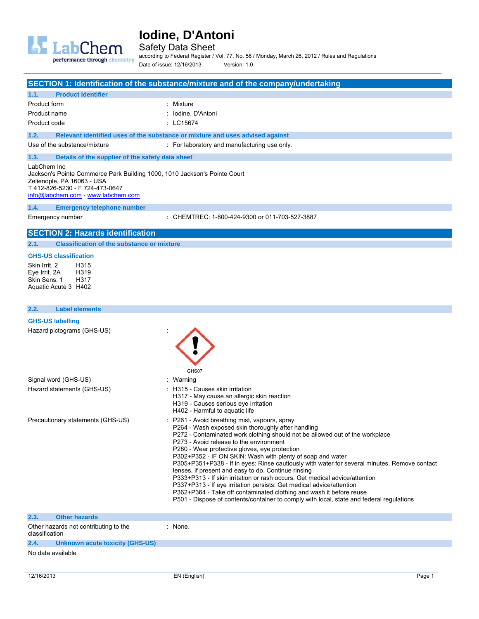

Safety Data Sheet according to Federal Register / Vol. 77, No. 58 / Monday, March 26, 2012 / Rules and Regulations

performance through chemistry

|                                                                                                                                                                                                 | Date of issue: 12/16/2013<br>Version: 1.0                                                                                                               |
|-------------------------------------------------------------------------------------------------------------------------------------------------------------------------------------------------|---------------------------------------------------------------------------------------------------------------------------------------------------------|
|                                                                                                                                                                                                 | SECTION 1: Identification of the substance/mixture and of the company/undertaking                                                                       |
| 1.1.<br><b>Product identifier</b>                                                                                                                                                               |                                                                                                                                                         |
| Product form                                                                                                                                                                                    | : Mixture                                                                                                                                               |
| Product name                                                                                                                                                                                    | : Iodine, D'Antoni                                                                                                                                      |
| Product code                                                                                                                                                                                    | : LC15674                                                                                                                                               |
| 1.2.                                                                                                                                                                                            | Relevant identified uses of the substance or mixture and uses advised against                                                                           |
| Use of the substance/mixture                                                                                                                                                                    | : For laboratory and manufacturing use only.                                                                                                            |
| 1.3.<br>Details of the supplier of the safety data sheet                                                                                                                                        |                                                                                                                                                         |
| LabChem Inc<br>Jackson's Pointe Commerce Park Building 1000, 1010 Jackson's Pointe Court<br>Zelienople, PA 16063 - USA<br>T 412-826-5230 - F 724-473-0647<br>info@labchem.com - www.labchem.com |                                                                                                                                                         |
| 1.4.<br><b>Emergency telephone number</b>                                                                                                                                                       |                                                                                                                                                         |
| Emergency number                                                                                                                                                                                | : CHEMTREC: 1-800-424-9300 or 011-703-527-3887                                                                                                          |
| <b>SECTION 2: Hazards identification</b>                                                                                                                                                        |                                                                                                                                                         |
| 2.1.<br><b>Classification of the substance or mixture</b>                                                                                                                                       |                                                                                                                                                         |
| <b>GHS-US classification</b>                                                                                                                                                                    |                                                                                                                                                         |
| Skin Irrit. 2<br>H315<br>Eye Irrit. 2A<br>H319<br>Skin Sens. 1<br>H317<br>Aquatic Acute 3 H402                                                                                                  |                                                                                                                                                         |
| 2.2.<br><b>Label elements</b>                                                                                                                                                                   |                                                                                                                                                         |
| <b>GHS-US labelling</b>                                                                                                                                                                         |                                                                                                                                                         |
| Hazard pictograms (GHS-US)                                                                                                                                                                      | GHS07                                                                                                                                                   |
| Signal word (GHS-US)                                                                                                                                                                            | : Warning                                                                                                                                               |
| Hazard statements (GHS-US)                                                                                                                                                                      | : H315 - Causes skin irritation<br>H317 - May cause an allergic skin reaction<br>H319 - Causes serious eye irritation<br>H402 - Harmful to aquatic life |
| Precautionary statements (GHS-US)                                                                                                                                                               | : P261 - Avoid breathing mist, vapours, spray<br>P264 - Wash exposed skin thoroughly after handling                                                     |

P272 - Contaminated work clothing should not be allowed out of the workplace

- P273 Avoid release to the environment
- P280 Wear protective gloves, eye protection
- P302+P352 IF ON SKIN: Wash with plenty of soap and water
- P305+P351+P338 If in eyes: Rinse cautiously with water for several minutes. Remove contact
- lenses, if present and easy to do. Continue rinsing
- P333+P313 If skin irritation or rash occurs: Get medical advice/attention
- P337+P313 If eye irritation persists: Get medical advice/attention
- P362+P364 Take off contaminated clothing and wash it before reuse
- P501 Dispose of contents/container to comply with local, state and federal regulations

| 2.3.           | <b>Other hazards</b>                  |       |
|----------------|---------------------------------------|-------|
| classification | Other hazards not contributing to the | None. |
| 2.4.           | Unknown acute toxicity (GHS-US)       |       |

No data available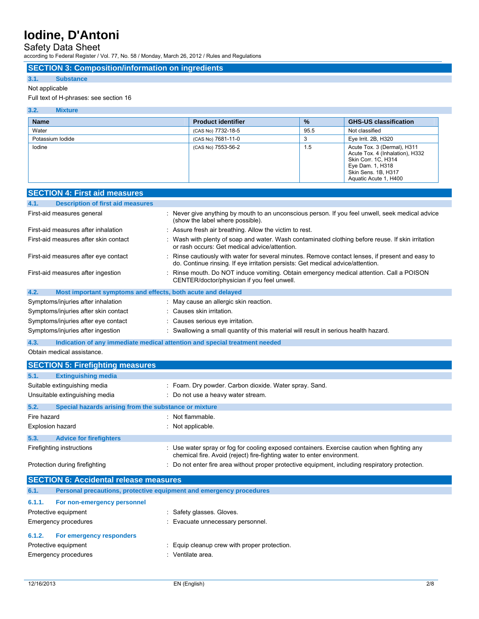### Safety Data Sheet

according to Federal Register / Vol. 77, No. 58 / Monday, March 26, 2012 / Rules and Regulations

### **SECTION 3: Composition/information on ingredients**

### **3.1. Substance**

### Not applicable

### Full text of H-phrases: see section 16

| 3.2.<br><b>Mixture</b> |                           |               |                                                                                                                                                           |
|------------------------|---------------------------|---------------|-----------------------------------------------------------------------------------------------------------------------------------------------------------|
| <b>Name</b>            | <b>Product identifier</b> | $\frac{9}{6}$ | <b>GHS-US classification</b>                                                                                                                              |
| Water                  | (CAS No) 7732-18-5        | 95.5          | Not classified                                                                                                                                            |
| Potassium lodide       | (CAS No) 7681-11-0        | 3             | Eye Irrit. 2B, H320                                                                                                                                       |
| lodine                 | (CAS No) 7553-56-2        | 1.5           | Acute Tox. 3 (Dermal), H311<br>Acute Tox. 4 (Inhalation), H332<br>Skin Corr. 1C, H314<br>Eye Dam. 1, H318<br>Skin Sens. 1B, H317<br>Aquatic Acute 1, H400 |

|             | <b>SECTION 4: First aid measures</b>                                |                                                                                                                                                                                     |
|-------------|---------------------------------------------------------------------|-------------------------------------------------------------------------------------------------------------------------------------------------------------------------------------|
| 4.1.        | <b>Description of first aid measures</b>                            |                                                                                                                                                                                     |
|             | First-aid measures general                                          | : Never give anything by mouth to an unconscious person. If you feel unwell, seek medical advice<br>(show the label where possible).                                                |
|             | First-aid measures after inhalation                                 | : Assure fresh air breathing. Allow the victim to rest.                                                                                                                             |
|             | First-aid measures after skin contact                               | : Wash with plenty of soap and water. Wash contaminated clothing before reuse. If skin irritation<br>or rash occurs: Get medical advice/attention.                                  |
|             | First-aid measures after eye contact                                | : Rinse cautiously with water for several minutes. Remove contact lenses, if present and easy to<br>do. Continue rinsing. If eye irritation persists: Get medical advice/attention. |
|             | First-aid measures after ingestion                                  | Rinse mouth. Do NOT induce vomiting. Obtain emergency medical attention. Call a POISON<br>CENTER/doctor/physician if you feel unwell.                                               |
| 4.2.        | Most important symptoms and effects, both acute and delayed         |                                                                                                                                                                                     |
|             | Symptoms/injuries after inhalation                                  | May cause an allergic skin reaction.                                                                                                                                                |
|             | Symptoms/injuries after skin contact                                | : Causes skin irritation.                                                                                                                                                           |
|             | Symptoms/injuries after eye contact                                 | : Causes serious eye irritation.                                                                                                                                                    |
|             | Symptoms/injuries after ingestion                                   | : Swallowing a small quantity of this material will result in serious health hazard.                                                                                                |
| 4.3.        |                                                                     | Indication of any immediate medical attention and special treatment needed                                                                                                          |
|             | Obtain medical assistance.                                          |                                                                                                                                                                                     |
|             | <b>SECTION 5: Firefighting measures</b>                             |                                                                                                                                                                                     |
| 5.1.        | <b>Extinguishing media</b>                                          |                                                                                                                                                                                     |
|             | Suitable extinguishing media                                        | : Foam. Dry powder. Carbon dioxide. Water spray. Sand.                                                                                                                              |
|             | Unsuitable extinguishing media                                      | : Do not use a heavy water stream.                                                                                                                                                  |
| 5.2.        | Special hazards arising from the substance or mixture               |                                                                                                                                                                                     |
| Fire hazard |                                                                     | : Not flammable.                                                                                                                                                                    |
|             | <b>Explosion hazard</b>                                             | : Not applicable.                                                                                                                                                                   |
| 5.3.        | <b>Advice for firefighters</b>                                      |                                                                                                                                                                                     |
|             | Firefighting instructions                                           | : Use water spray or fog for cooling exposed containers. Exercise caution when fighting any<br>chemical fire. Avoid (reject) fire-fighting water to enter environment.              |
|             | Protection during firefighting                                      | Do not enter fire area without proper protective equipment, including respiratory protection.                                                                                       |
|             | <b>SECTION 6: Accidental release measures</b>                       |                                                                                                                                                                                     |
| 6.1.        | Personal precautions, protective equipment and emergency procedures |                                                                                                                                                                                     |
| 6.1.1.      | For non-emergency personnel                                         |                                                                                                                                                                                     |
|             | Protective equipment                                                | : Safety glasses. Gloves.                                                                                                                                                           |
|             | Emergency procedures                                                | Evacuate unnecessary personnel.                                                                                                                                                     |
| 6.1.2.      | For emergency responders                                            |                                                                                                                                                                                     |
|             | Protective equipment                                                | Equip cleanup crew with proper protection.                                                                                                                                          |
|             | Emergency procedures                                                | : Ventilate area.                                                                                                                                                                   |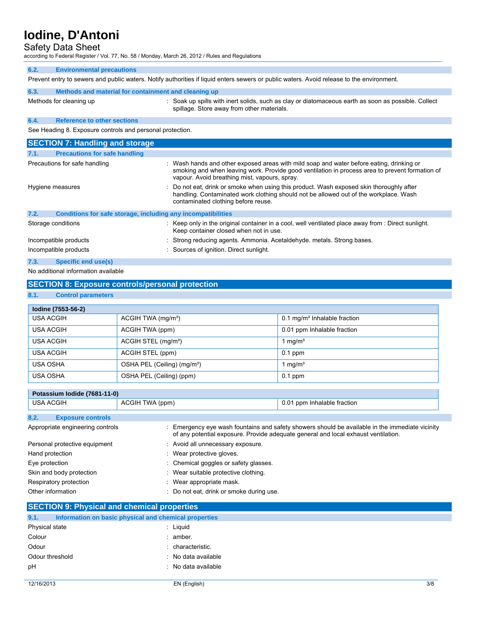### Safety Data Sheet

according to Federal Register / Vol. 77, No. 58 / Monday, March 26, 2012 / Rules and Regulations

### **6.2. Environmental precautions**

Prevent entry to sewers and public waters. Notify authorities if liquid enters sewers or public waters. Avoid release to the environment.

| 6.3. | Methods and material for containment and cleaning up |                                                                                                                                                   |
|------|------------------------------------------------------|---------------------------------------------------------------------------------------------------------------------------------------------------|
|      | Methods for cleaning up                              | : Soak up spills with inert solids, such as clay or diatomaceous earth as soon as possible. Collect<br>spillage. Store away from other materials. |

### **6.4. Reference to other sections**

See Heading 8. Exposure controls and personal protection.

| <b>SECTION 7: Handling and storage</b>                               |                                                                                                                                                                                                                                              |  |  |  |
|----------------------------------------------------------------------|----------------------------------------------------------------------------------------------------------------------------------------------------------------------------------------------------------------------------------------------|--|--|--|
| <b>Precautions for safe handling</b><br>7.1.                         |                                                                                                                                                                                                                                              |  |  |  |
| Precautions for safe handling                                        | : Wash hands and other exposed areas with mild soap and water before eating, drinking or<br>smoking and when leaving work. Provide good ventilation in process area to prevent formation of<br>vapour. Avoid breathing mist, vapours, spray. |  |  |  |
| Hygiene measures                                                     | : Do not eat, drink or smoke when using this product. Wash exposed skin thoroughly after<br>handling. Contaminated work clothing should not be allowed out of the workplace. Wash<br>contaminated clothing before reuse.                     |  |  |  |
| 7.2.<br>Conditions for safe storage, including any incompatibilities |                                                                                                                                                                                                                                              |  |  |  |
| Storage conditions                                                   | $\therefore$ Keep only in the original container in a cool, well ventilated place away from $\therefore$ Direct sunlight.<br>Keep container closed when not in use.                                                                          |  |  |  |
| Incompatible products                                                | : Strong reducing agents. Ammonia. Acetaldehyde. metals. Strong bases.                                                                                                                                                                       |  |  |  |
| Incompatible products                                                | : Sources of ignition. Direct sunlight.                                                                                                                                                                                                      |  |  |  |
| 7.3.<br>Specific end use(s)                                          |                                                                                                                                                                                                                                              |  |  |  |

No additional information available

### **SECTION 8: Exposure controls/personal protection**

### **8.1. Control parameters**

| lodine (7553-56-2) |                                         |                                            |  |  |  |  |
|--------------------|-----------------------------------------|--------------------------------------------|--|--|--|--|
| <b>USA ACGIH</b>   | ACGIH TWA $(mg/m3)$                     | $0.1$ mg/m <sup>3</sup> Inhalable fraction |  |  |  |  |
| USA ACGIH          | ACGIH TWA (ppm)                         | 0.01 ppm Inhalable fraction                |  |  |  |  |
| <b>USA ACGIH</b>   | ACGIH STEL (mg/m <sup>3</sup> )         | mq/m <sup>3</sup>                          |  |  |  |  |
| USA ACGIH          | ACGIH STEL (ppm)                        | $0.1$ ppm                                  |  |  |  |  |
| <b>USA OSHA</b>    | OSHA PEL (Ceiling) (mg/m <sup>3</sup> ) | mq/m <sup>3</sup>                          |  |  |  |  |
| <b>USA OSHA</b>    | OSHA PEL (Ceiling) (ppm)                | $0.1$ ppm                                  |  |  |  |  |

| Potassium Iodide (7681-11-0)     |                                          |                                                                                                                                                                                     |  |  |
|----------------------------------|------------------------------------------|-------------------------------------------------------------------------------------------------------------------------------------------------------------------------------------|--|--|
| <b>USA ACGIH</b>                 | ACGIH TWA (ppm)                          | 0.01 ppm Inhalable fraction                                                                                                                                                         |  |  |
|                                  |                                          |                                                                                                                                                                                     |  |  |
| 8.2.<br><b>Exposure controls</b> |                                          |                                                                                                                                                                                     |  |  |
| Appropriate engineering controls |                                          | Emergency eye wash fountains and safety showers should be available in the immediate vicinity<br>of any potential exposure. Provide adequate general and local exhaust ventilation. |  |  |
| Personal protective equipment    | : Avoid all unnecessary exposure.        |                                                                                                                                                                                     |  |  |
| Hand protection                  | : Wear protective gloves.                |                                                                                                                                                                                     |  |  |
| Eye protection                   | : Chemical goggles or safety glasses.    |                                                                                                                                                                                     |  |  |
| Skin and body protection         | Wear suitable protective clothing.<br>t. |                                                                                                                                                                                     |  |  |
| Respiratory protection           | Wear appropriate mask.                   |                                                                                                                                                                                     |  |  |
| Other information                | Do not eat, drink or smoke during use.   |                                                                                                                                                                                     |  |  |

### **SECTION 9: Physical and chemical properties**

| 9.1.            | Information on basic physical and chemical properties |  |                     |
|-----------------|-------------------------------------------------------|--|---------------------|
| Physical state  |                                                       |  | : Liauid            |
| Colour          |                                                       |  | : amber.            |
| Odour           |                                                       |  | : characteristic.   |
| Odour threshold |                                                       |  | : No data available |
| pH              |                                                       |  | : No data available |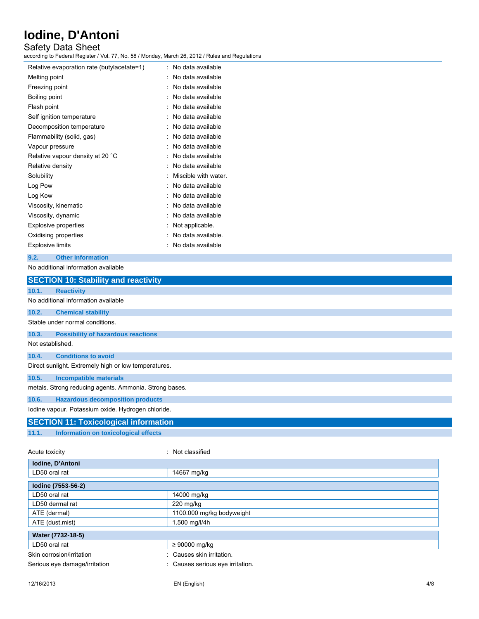### Safety Data Sheet

according to Federal Register / Vol. 77, No. 58 / Monday, March 26, 2012 / Rules and Regulations

| Relative evaporation rate (butylacetate=1) | ۰. | No data available    |
|--------------------------------------------|----|----------------------|
| Melting point                              |    | No data available    |
| Freezing point                             |    | No data available    |
| Boiling point                              |    | No data available    |
| Flash point                                |    | No data available    |
| Self ignition temperature                  |    | No data available    |
| Decomposition temperature                  |    | No data available    |
| Flammability (solid, gas)                  |    | No data available    |
| Vapour pressure                            |    | No data available    |
| Relative vapour density at 20 °C           |    | No data available    |
| Relative density                           |    | No data available    |
| Solubility                                 |    | Miscible with water. |
| Log Pow                                    |    | No data available    |
| Log Kow                                    |    | No data available    |
| Viscosity, kinematic                       |    | No data available    |
| Viscosity, dynamic                         |    | No data available    |
| <b>Explosive properties</b>                |    | Not applicable.      |
| Oxidising properties                       |    | No data available.   |
| <b>Explosive limits</b>                    |    | No data available    |
|                                            |    |                      |

### **9.2. Other information**

### No additional information available

|                  | <b>SECTION 10: Stability and reactivity</b>            |                  |  |  |  |
|------------------|--------------------------------------------------------|------------------|--|--|--|
| 10.1.            | <b>Reactivity</b>                                      |                  |  |  |  |
|                  | No additional information available                    |                  |  |  |  |
| 10.2.            | <b>Chemical stability</b>                              |                  |  |  |  |
|                  | Stable under normal conditions.                        |                  |  |  |  |
| 10.3.            | <b>Possibility of hazardous reactions</b>              |                  |  |  |  |
| Not established. |                                                        |                  |  |  |  |
| 10.4.            | <b>Conditions to avoid</b>                             |                  |  |  |  |
|                  | Direct sunlight. Extremely high or low temperatures.   |                  |  |  |  |
| 10.5.            | <b>Incompatible materials</b>                          |                  |  |  |  |
|                  | metals. Strong reducing agents. Ammonia. Strong bases. |                  |  |  |  |
| 10.6.            | <b>Hazardous decomposition products</b>                |                  |  |  |  |
|                  | lodine vapour. Potassium oxide. Hydrogen chloride.     |                  |  |  |  |
|                  | <b>SECTION 11: Toxicological information</b>           |                  |  |  |  |
| 11.1.            | Information on toxicological effects                   |                  |  |  |  |
|                  |                                                        |                  |  |  |  |
| Acute toxicity   |                                                        | : Not classified |  |  |  |
|                  | Iodine, D'Antoni                                       |                  |  |  |  |
| LD50 oral rat    |                                                        | 14667 mg/kg      |  |  |  |
|                  | Iodine (7553-56-2)                                     |                  |  |  |  |
| LD50 oral rat    |                                                        | 14000 mg/kg      |  |  |  |
|                  | LD50 dermal rat                                        | 220 mg/kg        |  |  |  |
|                  |                                                        |                  |  |  |  |

| LD50 dermal rat               | $220 \text{ mg/kg}$              |
|-------------------------------|----------------------------------|
| ATE (dermal)                  | 1100.000 mg/kg bodyweight        |
| ATE (dust, mist)              | 1.500 mg/l/4h                    |
| Water (7732-18-5)             |                                  |
| LD50 oral rat                 | $\geq 90000$ mg/kg               |
| Skin corrosion/irritation     | : Causes skin irritation.        |
| Serious eye damage/irritation | : Causes serious eye irritation. |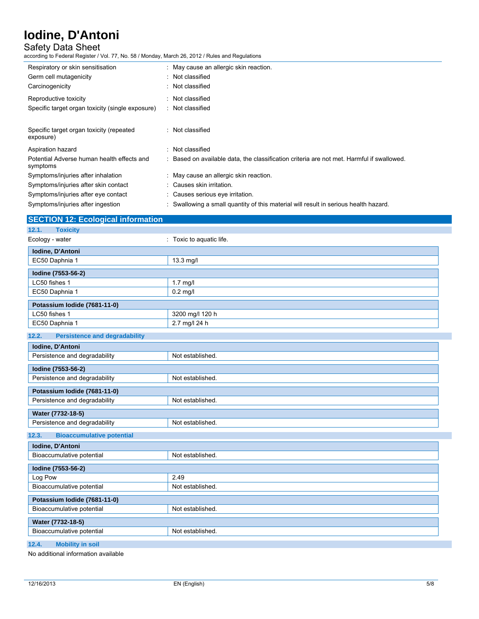### Safety Data Sheet

according to Federal Register / Vol. 77, No. 58 / Monday, March 26, 2012 / Rules and Regulations

| Respiratory or skin sensitisation<br>Germ cell mutagenicity<br>Carcinogenicity | : May cause an allergic skin reaction.<br>: Not classified<br>: Not classified            |
|--------------------------------------------------------------------------------|-------------------------------------------------------------------------------------------|
| Reproductive toxicity                                                          | : Not classified                                                                          |
| Specific target organ toxicity (single exposure)                               | : Not classified                                                                          |
| Specific target organ toxicity (repeated<br>exposure)                          | : Not classified                                                                          |
| Aspiration hazard                                                              | : Not classified                                                                          |
| Potential Adverse human health effects and<br>symptoms                         | : Based on available data, the classification criteria are not met. Harmful if swallowed. |
| Symptoms/injuries after inhalation                                             | : May cause an allergic skin reaction.                                                    |
| Symptoms/injuries after skin contact                                           | : Causes skin irritation.                                                                 |
| Symptoms/injuries after eye contact                                            | : Causes serious eye irritation.                                                          |
| Symptoms/injuries after ingestion                                              | : Swallowing a small quantity of this material will result in serious health hazard.      |

| <b>SECTION 12: Ecological information</b>           |                          |  |  |  |  |
|-----------------------------------------------------|--------------------------|--|--|--|--|
| 12.1.<br><b>Toxicity</b>                            |                          |  |  |  |  |
| Ecology - water                                     | : Toxic to aquatic life. |  |  |  |  |
| Iodine, D'Antoni                                    |                          |  |  |  |  |
| EC50 Daphnia 1                                      | 13.3 mg/l                |  |  |  |  |
| Iodine (7553-56-2)                                  |                          |  |  |  |  |
| LC50 fishes 1                                       | 1.7 mg/l                 |  |  |  |  |
| EC50 Daphnia 1                                      | $0.2$ mg/l               |  |  |  |  |
| Potassium Iodide (7681-11-0)                        |                          |  |  |  |  |
| LC50 fishes 1                                       | 3200 mg/l 120 h          |  |  |  |  |
| EC50 Daphnia 1                                      | 2.7 mg/l 24 h            |  |  |  |  |
| <b>Persistence and degradability</b><br>12.2.       |                          |  |  |  |  |
| Iodine, D'Antoni                                    |                          |  |  |  |  |
| Persistence and degradability                       | Not established.         |  |  |  |  |
|                                                     |                          |  |  |  |  |
| Iodine (7553-56-2)<br>Persistence and degradability | Not established.         |  |  |  |  |
|                                                     |                          |  |  |  |  |
| Potassium lodide (7681-11-0)                        |                          |  |  |  |  |
| Persistence and degradability                       | Not established.         |  |  |  |  |
| Water (7732-18-5)                                   |                          |  |  |  |  |
| Persistence and degradability                       | Not established.         |  |  |  |  |
| <b>Bioaccumulative potential</b><br>12.3.           |                          |  |  |  |  |
| Iodine, D'Antoni                                    |                          |  |  |  |  |
| Bioaccumulative potential                           | Not established.         |  |  |  |  |
| Iodine (7553-56-2)                                  |                          |  |  |  |  |
| Log Pow                                             | 2.49                     |  |  |  |  |
| Bioaccumulative potential                           | Not established.         |  |  |  |  |
| Potassium lodide (7681-11-0)                        |                          |  |  |  |  |
| Bioaccumulative potential                           | Not established.         |  |  |  |  |
| Water (7732-18-5)                                   |                          |  |  |  |  |
| Bioaccumulative potential                           | Not established.         |  |  |  |  |
| <b>Sales Street</b>                                 |                          |  |  |  |  |

### **12.4. Mobility in soil**

No additional information available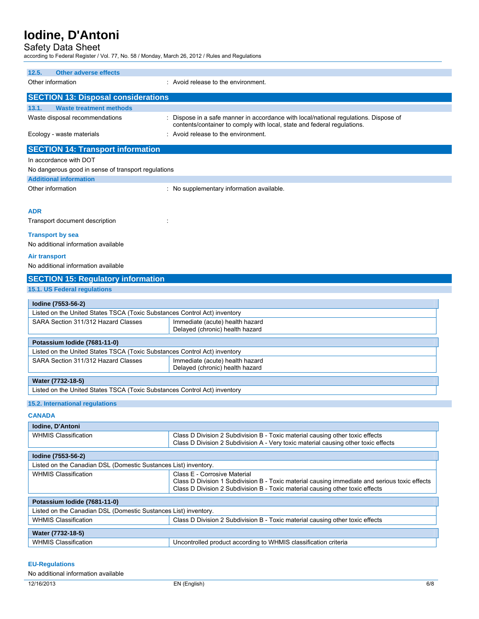### Safety Data Sheet

according to Federal Register / Vol. 77, No. 58 / Monday, March 26, 2012 / Rules and Regulations

| 12.5.<br><b>Other adverse effects</b>                                     |                                                                                                                                                                                                                |  |  |  |
|---------------------------------------------------------------------------|----------------------------------------------------------------------------------------------------------------------------------------------------------------------------------------------------------------|--|--|--|
| Other information                                                         | : Avoid release to the environment.                                                                                                                                                                            |  |  |  |
| <b>SECTION 13: Disposal considerations</b>                                |                                                                                                                                                                                                                |  |  |  |
| 13.1.<br><b>Waste treatment methods</b>                                   |                                                                                                                                                                                                                |  |  |  |
| Waste disposal recommendations                                            | : Dispose in a safe manner in accordance with local/national regulations. Dispose of<br>contents/container to comply with local, state and federal regulations.                                                |  |  |  |
| Ecology - waste materials                                                 | : Avoid release to the environment.                                                                                                                                                                            |  |  |  |
| <b>SECTION 14: Transport information</b>                                  |                                                                                                                                                                                                                |  |  |  |
| In accordance with DOT                                                    |                                                                                                                                                                                                                |  |  |  |
| No dangerous good in sense of transport regulations                       |                                                                                                                                                                                                                |  |  |  |
| <b>Additional information</b>                                             |                                                                                                                                                                                                                |  |  |  |
| Other information                                                         | : No supplementary information available.                                                                                                                                                                      |  |  |  |
| <b>ADR</b>                                                                |                                                                                                                                                                                                                |  |  |  |
| Transport document description                                            |                                                                                                                                                                                                                |  |  |  |
| <b>Transport by sea</b><br>No additional information available            |                                                                                                                                                                                                                |  |  |  |
| <b>Air transport</b><br>No additional information available               |                                                                                                                                                                                                                |  |  |  |
| <b>SECTION 15: Regulatory information</b>                                 |                                                                                                                                                                                                                |  |  |  |
| 15.1. US Federal regulations                                              |                                                                                                                                                                                                                |  |  |  |
| Iodine (7553-56-2)                                                        |                                                                                                                                                                                                                |  |  |  |
| Listed on the United States TSCA (Toxic Substances Control Act) inventory |                                                                                                                                                                                                                |  |  |  |
| SARA Section 311/312 Hazard Classes                                       | Immediate (acute) health hazard<br>Delayed (chronic) health hazard                                                                                                                                             |  |  |  |
| Potassium Iodide (7681-11-0)                                              |                                                                                                                                                                                                                |  |  |  |
| Listed on the United States TSCA (Toxic Substances Control Act) inventory |                                                                                                                                                                                                                |  |  |  |
| SARA Section 311/312 Hazard Classes                                       | Immediate (acute) health hazard<br>Delayed (chronic) health hazard                                                                                                                                             |  |  |  |
| Water (7732-18-5)                                                         |                                                                                                                                                                                                                |  |  |  |
| Listed on the United States TSCA (Toxic Substances Control Act) inventory |                                                                                                                                                                                                                |  |  |  |
| 15.2. International regulations                                           |                                                                                                                                                                                                                |  |  |  |
| <b>CANADA</b>                                                             |                                                                                                                                                                                                                |  |  |  |
| Iodine, D'Antoni                                                          |                                                                                                                                                                                                                |  |  |  |
| <b>WHMIS Classification</b>                                               | Class D Division 2 Subdivision B - Toxic material causing other toxic effects<br>Class D Division 2 Subdivision A - Very toxic material causing other toxic effects                                            |  |  |  |
| Iodine (7553-56-2)                                                        |                                                                                                                                                                                                                |  |  |  |
| Listed on the Canadian DSL (Domestic Sustances List) inventory.           |                                                                                                                                                                                                                |  |  |  |
| <b>WHMIS Classification</b>                                               | Class E - Corrosive Material<br>Class D Division 1 Subdivision B - Toxic material causing immediate and serious toxic effects<br>Class D Division 2 Subdivision B - Toxic material causing other toxic effects |  |  |  |
| Potassium Iodide (7681-11-0)                                              |                                                                                                                                                                                                                |  |  |  |
| Listed on the Canadian DSL (Domestic Sustances List) inventory.           |                                                                                                                                                                                                                |  |  |  |
| WHMIS Classification                                                      | Class D Division 2 Subdivision B - Toxic material causing other toxic effects                                                                                                                                  |  |  |  |
| Water (7732-18-5)                                                         |                                                                                                                                                                                                                |  |  |  |
| <b>WHMIS Classification</b>                                               | Uncontrolled product according to WHMIS classification criteria                                                                                                                                                |  |  |  |

### **EU-Regulations**

No additional information available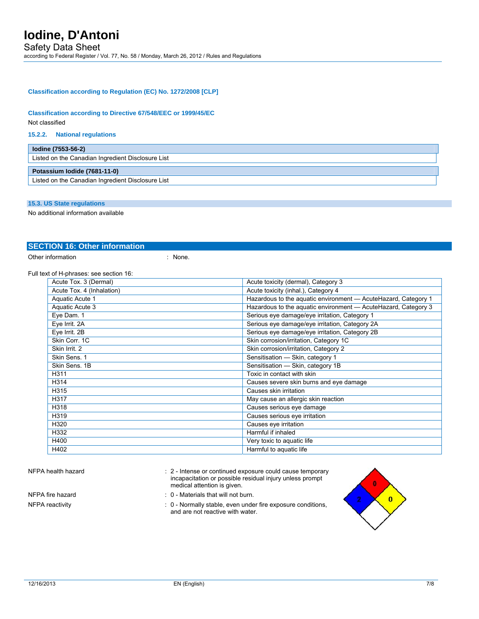### **Classification according to Regulation (EC) No. 1272/2008 [CLP]**

### **Classification according to Directive 67/548/EEC or 1999/45/EC**

Not classified

### **15.2.2. National regulations**

| lodine (7553-56-2)                                |
|---------------------------------------------------|
| Listed on the Canadian Ingredient Disclosure List |
| Potassium Iodide (7681-11-0)                      |
| Listed on the Canadian Ingredient Disclosure List |

### **15.3. US State regulations**

No additional information available

### **SECTION 16: Other information**

Other information : None.

### Full text of H-phrases: see section 16:

| Acute Tox. 3 (Dermal)     | Acute toxicity (dermal), Category 3                            |
|---------------------------|----------------------------------------------------------------|
| Acute Tox. 4 (Inhalation) | Acute toxicity (inhal.), Category 4                            |
| Aquatic Acute 1           | Hazardous to the aquatic environment - AcuteHazard, Category 1 |
| Aquatic Acute 3           | Hazardous to the aquatic environment - AcuteHazard, Category 3 |
| Eye Dam. 1                | Serious eye damage/eye irritation, Category 1                  |
| Eye Irrit. 2A             | Serious eye damage/eye irritation, Category 2A                 |
| Eye Irrit. 2B             | Serious eye damage/eye irritation, Category 2B                 |
| Skin Corr. 1C             | Skin corrosion/irritation, Category 1C                         |
| Skin Irrit. 2             | Skin corrosion/irritation, Category 2                          |
| Skin Sens. 1              | Sensitisation - Skin, category 1                               |
| Skin Sens, 1B             | Sensitisation - Skin, category 1B                              |
| H311                      | Toxic in contact with skin                                     |
| H314                      | Causes severe skin burns and eye damage                        |
| H315                      | Causes skin irritation                                         |
| H317                      | May cause an allergic skin reaction                            |
| H318                      | Causes serious eye damage                                      |
| H319                      | Causes serious eye irritation                                  |
| H320                      | Causes eye irritation                                          |
| H332                      | Harmful if inhaled                                             |
| H400                      | Very toxic to aquatic life                                     |
| H402                      | Harmful to aquatic life                                        |

NFPA health hazard **interval interval cause temporary** : 2 - Intense or continued exposure could cause temporary incapacitation or possible residual injury unless prompt medical attention is given.

- NFPA fire hazard **in the state of the state of the SNTPA** fire hazard in the state of the state of the SNTPA is  $\theta$  Materials that will not burn.
- NFPA reactivity **Stable** : 0 Normally stable, even under fire exposure conditions, and are not reactive with water.